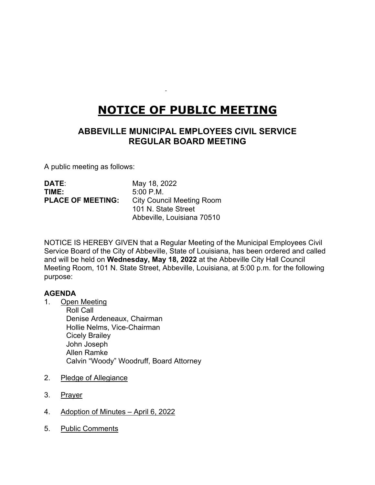# **NOTICE OF PUBLIC MEETING**

# **ABBEVILLE MUNICIPAL EMPLOYEES CIVIL SERVICE REGULAR BOARD MEETING**

A public meeting as follows:

| <b>DATE:</b>             | May 18, 2022                     |
|--------------------------|----------------------------------|
| TIME:                    | $5:00$ P.M.                      |
| <b>PLACE OF MEETING:</b> | <b>City Council Meeting Room</b> |
|                          | 101 N. State Street              |
|                          | Abbeville, Louisiana 70510       |

NOTICE IS HEREBY GIVEN that a Regular Meeting of the Municipal Employees Civil Service Board of the City of Abbeville, State of Louisiana, has been ordered and called and will be held on **Wednesday, May 18, 2022** at the Abbeville City Hall Council Meeting Room, 101 N. State Street, Abbeville, Louisiana, at 5:00 p.m. for the following purpose:

## **AGENDA**

1. Open Meeting

Roll Call Denise Ardeneaux, Chairman Hollie Nelms, Vice-Chairman Cicely Brailey John Joseph Allen Ramke Calvin "Woody" Woodruff, Board Attorney

- 2. Pledge of Allegiance
- 3. Prayer
- 4. Adoption of Minutes April 6, 2022
- 5. Public Comments